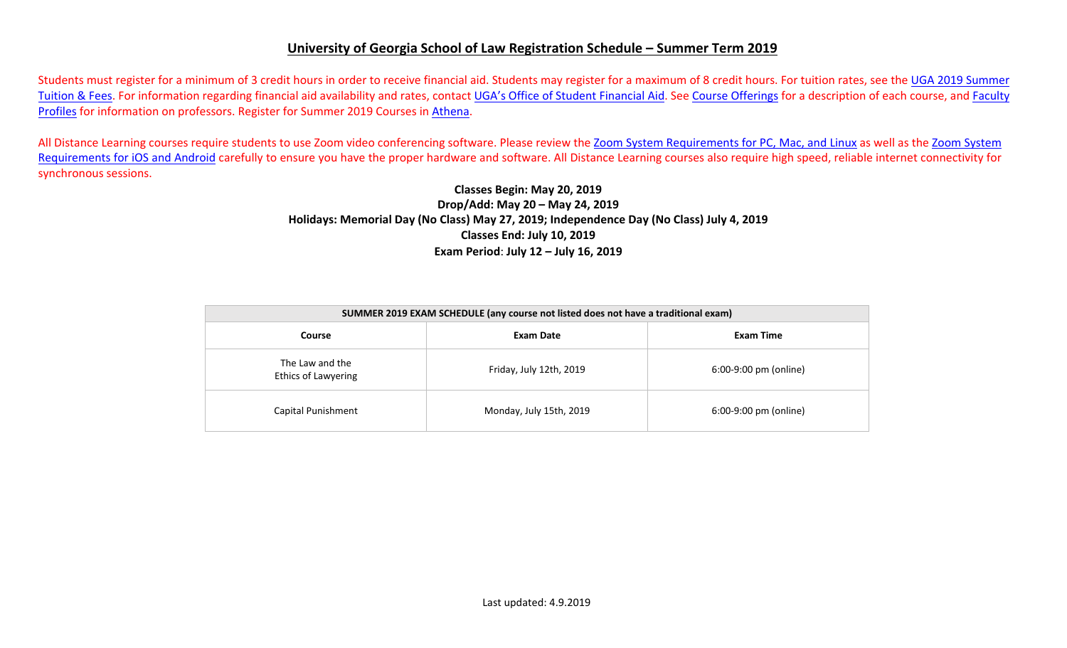## **University of Georgia School of Law Registration Schedule – Summer Term 2019**

Students must register for a minimum of 3 credit hours in order to receive financial aid. Students may register for a maximum of 8 credit hours. For tuition rates, see the [UGA 2019](https://busfin.uga.edu/bursar/bursar_tuition_sum_1819/) Summer [Tuition & Fees.](https://busfin.uga.edu/bursar/bursar_tuition_sum_1819/) For information regarding financial aid availability and rates, contact [UGA's Office of Student Financial Aid.](https://osfa.uga.edu/) See [Course Offerings](http://www.law.uga.edu/course-offerings) for a description of each course, and [Faculty](http://www.law.uga.edu/faculty-profiles) [Profiles](http://www.law.uga.edu/faculty-profiles) for information on professors. Register for Summer 2019 Courses in [Athena.](http://www.athena.uga.edu/)

All Distance Learning courses require students to use Zoom video conferencing software. Please review the [Zoom System Requirements for PC, Mac, and](https://support.zoom.us/hc/en-us/articles/201362023-System-Requirements-for-PC-Mac-and-Linux) Linux as well as the [Zoom System](https://support.zoom.us/hc/en-us/articles/201179966-System-Requirements-for-iOS-and-Android) [Requirements for iOS and Android](https://support.zoom.us/hc/en-us/articles/201179966-System-Requirements-for-iOS-and-Android) carefully to ensure you have the proper hardware and software. All Distance Learning courses also require high speed, reliable internet connectivity for synchronous sessions.

## **Classes Begin: May 20, 2019 Drop/Add: May 20 – May 24, 2019 Holidays: Memorial Day (No Class) May 27, 2019; Independence Day (No Class) July 4, 2019 Classes End: July 10, 2019 Exam Period**: **July 12 – July 16, 2019**

| SUMMER 2019 EXAM SCHEDULE (any course not listed does not have a traditional exam) |                         |                       |  |  |  |  |  |  |  |
|------------------------------------------------------------------------------------|-------------------------|-----------------------|--|--|--|--|--|--|--|
| <b>Course</b>                                                                      | Exam Date               | Exam Time             |  |  |  |  |  |  |  |
| The Law and the<br><b>Ethics of Lawyering</b>                                      | Friday, July 12th, 2019 | 6:00-9:00 pm (online) |  |  |  |  |  |  |  |
| Capital Punishment                                                                 | Monday, July 15th, 2019 | 6:00-9:00 pm (online) |  |  |  |  |  |  |  |